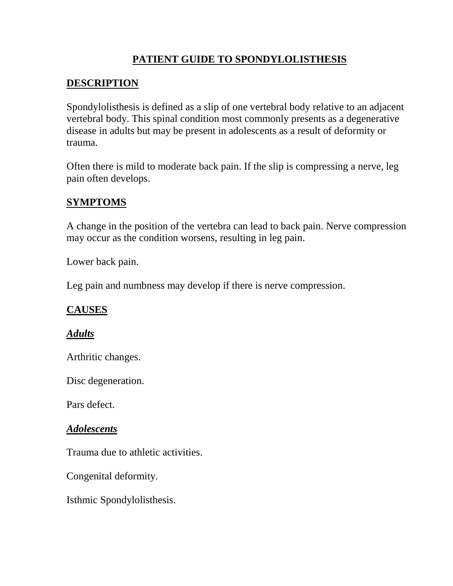# **PATIENT GUIDE TO SPONDYLOLISTHESIS**

### **DESCRIPTION**

Spondylolisthesis is defined as a slip of one vertebral body relative to an adjacent vertebral body. This spinal condition most commonly presents as a degenerative disease in adults but may be present in adolescents as a result of deformity or trauma.

Often there is mild to moderate back pain. If the slip is compressing a nerve, leg pain often develops.

### **SYMPTOMS**

A change in the position of the vertebra can lead to back pain. Nerve compression may occur as the condition worsens, resulting in leg pain.

Lower back pain.

Leg pain and numbness may develop if there is nerve compression.

#### **CAUSES**

#### *Adults*

Arthritic changes.

Disc degeneration.

Pars defect.

#### *Adolescents*

Trauma due to athletic activities.

Congenital deformity.

Isthmic Spondylolisthesis.